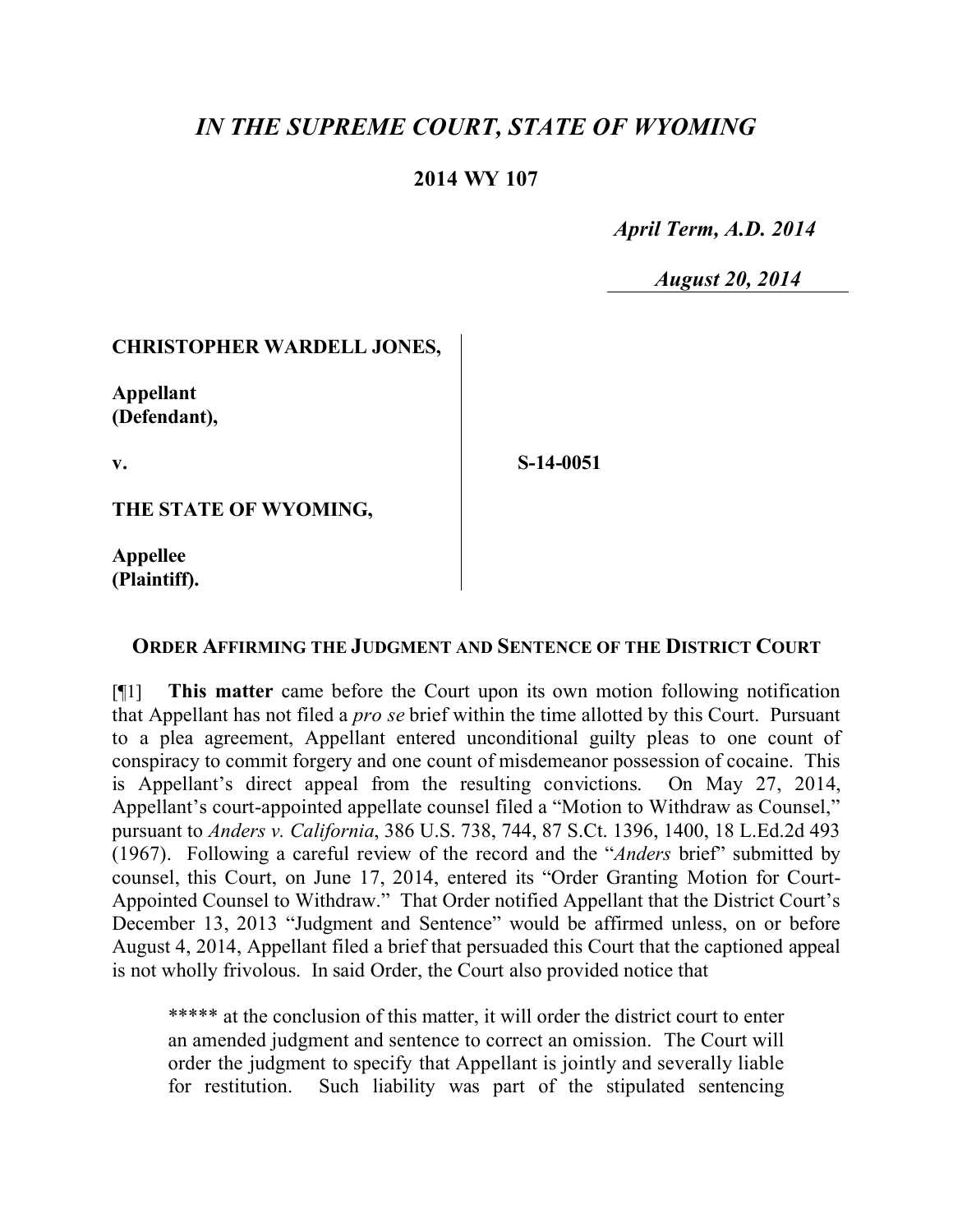# *IN THE SUPREME COURT, STATE OF WYOMING*

## **2014 WY 107**

 *April Term, A.D. 2014*

*August 20, 2014*

### **CHRISTOPHER WARDELL JONES,**

**Appellant (Defendant),**

**v.**

**S-14-0051**

**THE STATE OF WYOMING,** 

**Appellee (Plaintiff).**

#### **ORDER AFFIRMING THE JUDGMENT AND SENTENCE OF THE DISTRICT COURT**

[¶1] **This matter** came before the Court upon its own motion following notification that Appellant has not filed a *pro se* brief within the time allotted by this Court. Pursuant to a plea agreement, Appellant entered unconditional guilty pleas to one count of conspiracy to commit forgery and one count of misdemeanor possession of cocaine. This is Appellant's direct appeal from the resulting convictions. On May 27, 2014, Appellant's court-appointed appellate counsel filed a "Motion to Withdraw as Counsel," pursuant to *Anders v. California*, 386 U.S. 738, 744, 87 S.Ct. 1396, 1400, 18 L.Ed.2d 493 (1967). Following a careful review of the record and the "*Anders* brief" submitted by counsel, this Court, on June 17, 2014, entered its "Order Granting Motion for Court-Appointed Counsel to Withdraw." That Order notified Appellant that the District Court's December 13, 2013 "Judgment and Sentence" would be affirmed unless, on or before August 4, 2014, Appellant filed a brief that persuaded this Court that the captioned appeal is not wholly frivolous. In said Order, the Court also provided notice that

\*\*\*\*\* at the conclusion of this matter, it will order the district court to enter an amended judgment and sentence to correct an omission. The Court will order the judgment to specify that Appellant is jointly and severally liable for restitution. Such liability was part of the stipulated sentencing